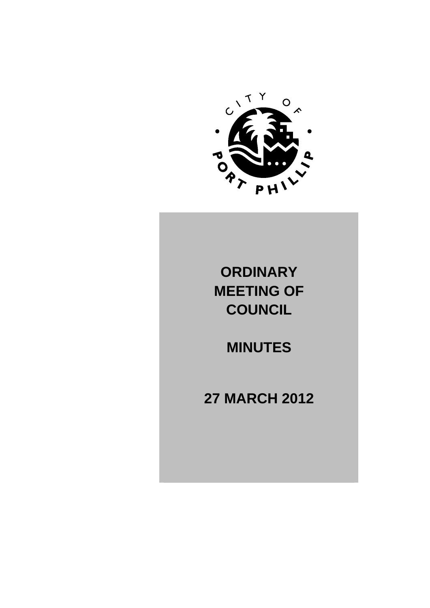

# **ORDINARY MEETING OF COUNCIL**

# **MINUTES**

# **27 MARCH 2012**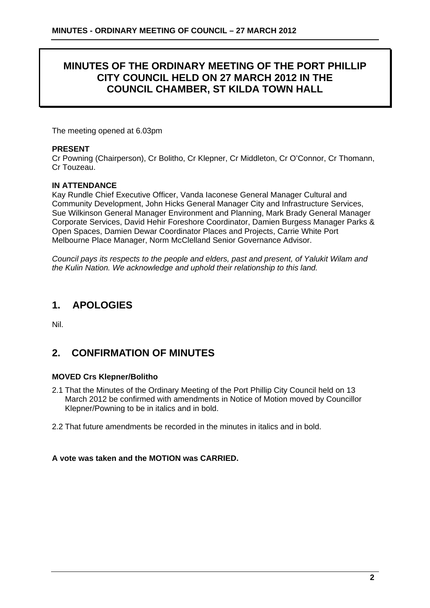### **MINUTES OF THE ORDINARY MEETING OF THE PORT PHILLIP CITY COUNCIL HELD ON 27 MARCH 2012 IN THE COUNCIL CHAMBER, ST KILDA TOWN HALL**

The meeting opened at 6.03pm

#### **PRESENT**

Cr Powning (Chairperson), Cr Bolitho, Cr Klepner, Cr Middleton, Cr O'Connor, Cr Thomann, Cr Touzeau.

#### **IN ATTENDANCE**

Kay Rundle Chief Executive Officer, Vanda Iaconese General Manager Cultural and Community Development, John Hicks General Manager City and Infrastructure Services, Sue Wilkinson General Manager Environment and Planning, Mark Brady General Manager Corporate Services, David Hehir Foreshore Coordinator, Damien Burgess Manager Parks & Open Spaces, Damien Dewar Coordinator Places and Projects, Carrie White Port Melbourne Place Manager, Norm McClelland Senior Governance Advisor.

*Council pays its respects to the people and elders, past and present, of Yalukit Wilam and the Kulin Nation. We acknowledge and uphold their relationship to this land.* 

## **1. APOLOGIES**

Nil.

### **2. CONFIRMATION OF MINUTES**

#### **MOVED Crs Klepner/Bolitho**

- 2.1 That the Minutes of the Ordinary Meeting of the Port Phillip City Council held on 13 March 2012 be confirmed with amendments in Notice of Motion moved by Councillor Klepner/Powning to be in italics and in bold.
- 2.2 That future amendments be recorded in the minutes in italics and in bold.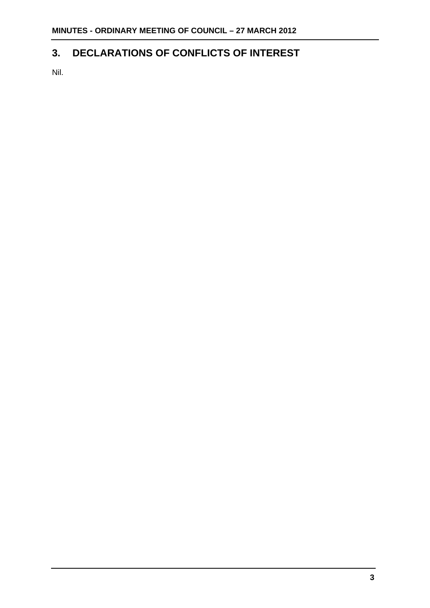## **3. DECLARATIONS OF CONFLICTS OF INTEREST**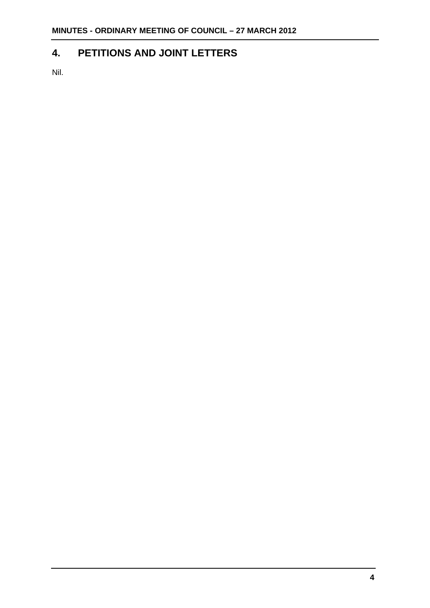## **4. PETITIONS AND JOINT LETTERS**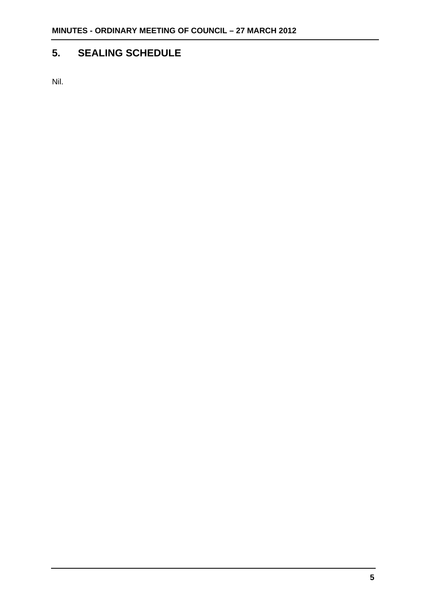## **5. SEALING SCHEDULE**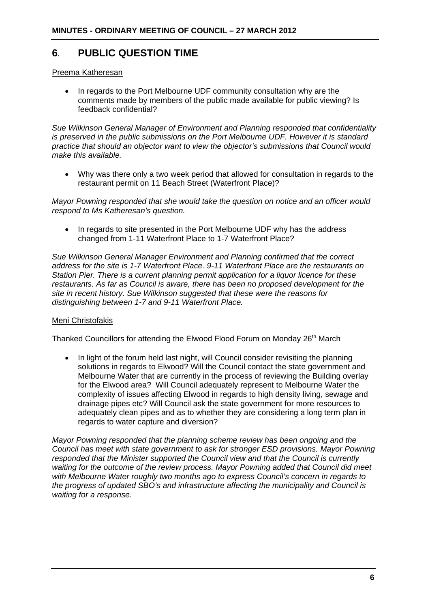### **6***.* **PUBLIC QUESTION TIME**

#### Preema Katheresan

• In regards to the Port Melbourne UDF community consultation why are the comments made by members of the public made available for public viewing? Is feedback confidential?

*Sue Wilkinson General Manager of Environment and Planning responded that confidentiality is preserved in the public submissions on the Port Melbourne UDF. However it is standard practice that should an objector want to view the objector's submissions that Council would make this available.* 

 Why was there only a two week period that allowed for consultation in regards to the restaurant permit on 11 Beach Street (Waterfront Place)?

*Mayor Powning responded that she would take the question on notice and an officer would respond to Ms Katheresan's question.* 

• In regards to site presented in the Port Melbourne UDF why has the address changed from 1-11 Waterfront Place to 1-7 Waterfront Place?

*Sue Wilkinson General Manager Environment and Planning confirmed that the correct address for the site is 1-7 Waterfront Place. 9-11 Waterfront Place are the restaurants on Station Pier. There is a current planning permit application for a liquor licence for these restaurants. As far as Council is aware, there has been no proposed development for the site in recent history. Sue Wilkinson suggested that these were the reasons for distinguishing between 1-7 and 9-11 Waterfront Place.* 

#### Meni Christofakis

Thanked Councillors for attending the Elwood Flood Forum on Monday 26<sup>th</sup> March

• In light of the forum held last night, will Council consider revisiting the planning solutions in regards to Elwood? Will the Council contact the state government and Melbourne Water that are currently in the process of reviewing the Building overlay for the Elwood area? Will Council adequately represent to Melbourne Water the complexity of issues affecting Elwood in regards to high density living, sewage and drainage pipes etc? Will Council ask the state government for more resources to adequately clean pipes and as to whether they are considering a long term plan in regards to water capture and diversion?

*Mayor Powning responded that the planning scheme review has been ongoing and the Council has meet with state government to ask for stronger ESD provisions. Mayor Powning responded that the Minister supported the Council view and that the Council is currently waiting for the outcome of the review process. Mayor Powning added that Council did meet with Melbourne Water roughly two months ago to express Council's concern in regards to the progress of updated SBO's and infrastructure affecting the municipality and Council is waiting for a response.*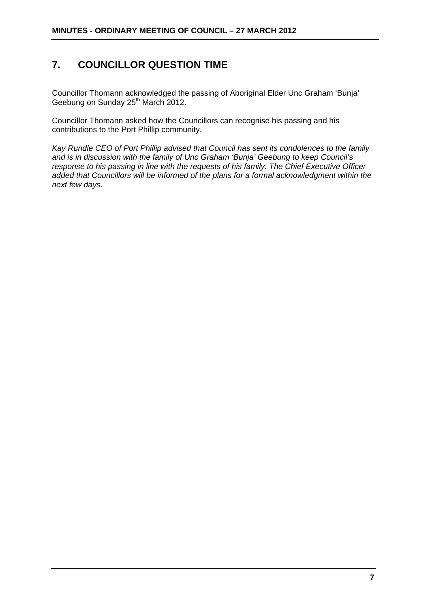### **7. COUNCILLOR QUESTION TIME**

Councillor Thomann acknowledged the passing of Aboriginal Elder Unc Graham 'Bunja' Geebung on Sunday 25<sup>th</sup> March 2012.

Councillor Thomann asked how the Councillors can recognise his passing and his contributions to the Port Phillip community.

*Kay Rundle CEO of Port Phillip advised that Council has sent its condolences to the family and is in discussion with the family of Unc Graham 'Bunja' Geebung to keep Council's response to his passing in line with the requests of his family. The Chief Executive Officer added that Councillors will be informed of the plans for a formal acknowledgment within the next few days.*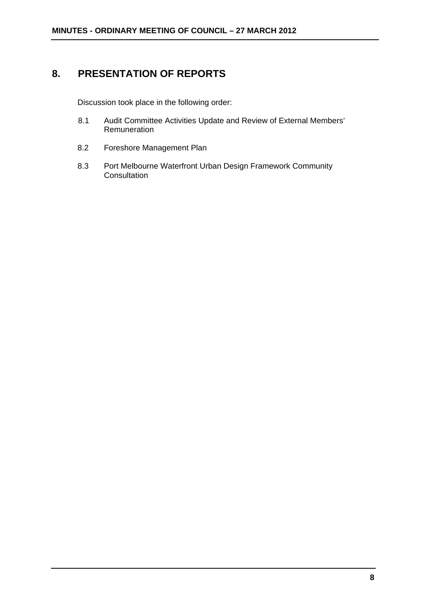# **8. PRESENTATION OF REPORTS**

Discussion took place in the following order:

- 8.1 Audit Committee Activities Update and Review of External Members' Remuneration
- 8.2 Foreshore Management Plan
- 8.3 Port Melbourne Waterfront Urban Design Framework Community **Consultation**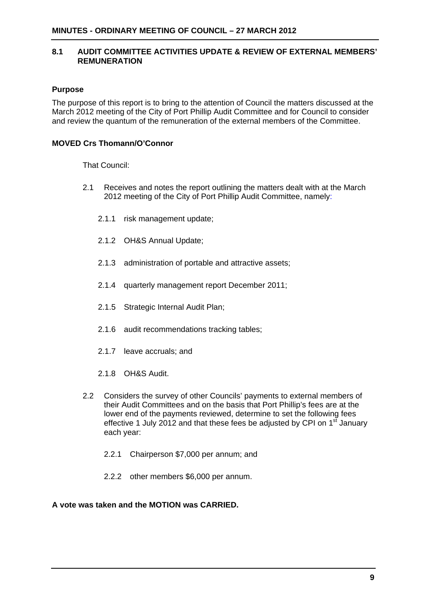#### **8.1 AUDIT COMMITTEE ACTIVITIES UPDATE & REVIEW OF EXTERNAL MEMBERS' REMUNERATION**

#### **Purpose**

The purpose of this report is to bring to the attention of Council the matters discussed at the March 2012 meeting of the City of Port Phillip Audit Committee and for Council to consider and review the quantum of the remuneration of the external members of the Committee.

#### **MOVED Crs Thomann/O'Connor**

That Council:

- 2.1 Receives and notes the report outlining the matters dealt with at the March 2012 meeting of the City of Port Phillip Audit Committee, namely:
	- 2.1.1 risk management update;
	- 2.1.2 OH&S Annual Update;
	- 2.1.3 administration of portable and attractive assets;
	- 2.1.4 quarterly management report December 2011;
	- 2.1.5 Strategic Internal Audit Plan;
	- 2.1.6 audit recommendations tracking tables;
	- 2.1.7 leave accruals; and
	- 2.1.8 OH&S Audit.
- 2.2 Considers the survey of other Councils' payments to external members of their Audit Committees and on the basis that Port Phillip's fees are at the lower end of the payments reviewed, determine to set the following fees effective 1 July 2012 and that these fees be adjusted by CPI on  $1<sup>st</sup>$  January each year:
	- 2.2.1 Chairperson \$7,000 per annum; and
	- 2.2.2 other members \$6,000 per annum.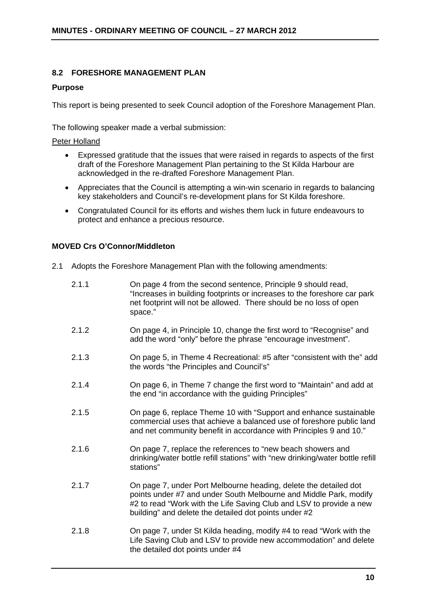#### **8.2 FORESHORE MANAGEMENT PLAN**

#### **Purpose**

This report is being presented to seek Council adoption of the Foreshore Management Plan.

The following speaker made a verbal submission:

#### Peter Holland

- Expressed gratitude that the issues that were raised in regards to aspects of the first draft of the Foreshore Management Plan pertaining to the St Kilda Harbour are acknowledged in the re-drafted Foreshore Management Plan.
- Appreciates that the Council is attempting a win-win scenario in regards to balancing key stakeholders and Council's re-development plans for St Kilda foreshore.
- Congratulated Council for its efforts and wishes them luck in future endeavours to protect and enhance a precious resource.

#### **MOVED Crs O'Connor/Middleton**

2.1 Adopts the Foreshore Management Plan with the following amendments:

the detailed dot points under #4

| 2.1.1 | On page 4 from the second sentence, Principle 9 should read,<br>"Increases in building footprints or increases to the foreshore car park<br>net footprint will not be allowed. There should be no loss of open<br>space."                                             |
|-------|-----------------------------------------------------------------------------------------------------------------------------------------------------------------------------------------------------------------------------------------------------------------------|
| 2.1.2 | On page 4, in Principle 10, change the first word to "Recognise" and<br>add the word "only" before the phrase "encourage investment".                                                                                                                                 |
| 2.1.3 | On page 5, in Theme 4 Recreational: #5 after "consistent with the" add<br>the words "the Principles and Council's"                                                                                                                                                    |
| 2.1.4 | On page 6, in Theme 7 change the first word to "Maintain" and add at<br>the end "in accordance with the guiding Principles"                                                                                                                                           |
| 2.1.5 | On page 6, replace Theme 10 with "Support and enhance sustainable<br>commercial uses that achieve a balanced use of foreshore public land<br>and net community benefit in accordance with Principles 9 and 10."                                                       |
| 2.1.6 | On page 7, replace the references to "new beach showers and<br>drinking/water bottle refill stations" with "new drinking/water bottle refill<br>stations"                                                                                                             |
| 2.1.7 | On page 7, under Port Melbourne heading, delete the detailed dot<br>points under #7 and under South Melbourne and Middle Park, modify<br>#2 to read "Work with the Life Saving Club and LSV to provide a new<br>building" and delete the detailed dot points under #2 |
| 2.1.8 | On page 7, under St Kilda heading, modify #4 to read "Work with the<br>Life Saving Club and LSV to provide new accommodation" and delete                                                                                                                              |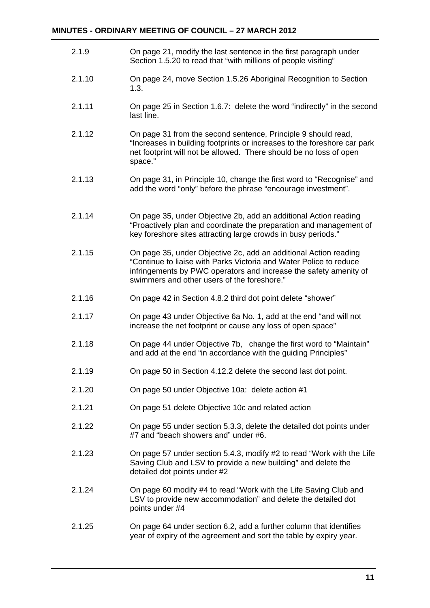| 2.1.9  | On page 21, modify the last sentence in the first paragraph under<br>Section 1.5.20 to read that "with millions of people visiting"                                                                                                                        |
|--------|------------------------------------------------------------------------------------------------------------------------------------------------------------------------------------------------------------------------------------------------------------|
| 2.1.10 | On page 24, move Section 1.5.26 Aboriginal Recognition to Section<br>1.3.                                                                                                                                                                                  |
| 2.1.11 | On page 25 in Section 1.6.7: delete the word "indirectly" in the second<br>last line.                                                                                                                                                                      |
| 2.1.12 | On page 31 from the second sentence, Principle 9 should read,<br>"Increases in building footprints or increases to the foreshore car park<br>net footprint will not be allowed. There should be no loss of open<br>space."                                 |
| 2.1.13 | On page 31, in Principle 10, change the first word to "Recognise" and<br>add the word "only" before the phrase "encourage investment".                                                                                                                     |
| 2.1.14 | On page 35, under Objective 2b, add an additional Action reading<br>"Proactively plan and coordinate the preparation and management of<br>key foreshore sites attracting large crowds in busy periods."                                                    |
| 2.1.15 | On page 35, under Objective 2c, add an additional Action reading<br>"Continue to liaise with Parks Victoria and Water Police to reduce<br>infringements by PWC operators and increase the safety amenity of<br>swimmers and other users of the foreshore." |
| 2.1.16 | On page 42 in Section 4.8.2 third dot point delete "shower"                                                                                                                                                                                                |
| 2.1.17 | On page 43 under Objective 6a No. 1, add at the end "and will not<br>increase the net footprint or cause any loss of open space"                                                                                                                           |
| 2.1.18 | On page 44 under Objective 7b, change the first word to "Maintain"<br>and add at the end "in accordance with the guiding Principles"                                                                                                                       |
| 2.1.19 | On page 50 in Section 4.12.2 delete the second last dot point.                                                                                                                                                                                             |
| 2.1.20 | On page 50 under Objective 10a: delete action #1                                                                                                                                                                                                           |
| 2.1.21 | On page 51 delete Objective 10c and related action                                                                                                                                                                                                         |
| 2.1.22 | On page 55 under section 5.3.3, delete the detailed dot points under<br>#7 and "beach showers and" under #6.                                                                                                                                               |
| 2.1.23 | On page 57 under section 5.4.3, modify #2 to read "Work with the Life<br>Saving Club and LSV to provide a new building" and delete the<br>detailed dot points under #2                                                                                     |
| 2.1.24 | On page 60 modify #4 to read "Work with the Life Saving Club and<br>LSV to provide new accommodation" and delete the detailed dot<br>points under #4                                                                                                       |
| 2.1.25 | On page 64 under section 6.2, add a further column that identifies<br>year of expiry of the agreement and sort the table by expiry year.                                                                                                                   |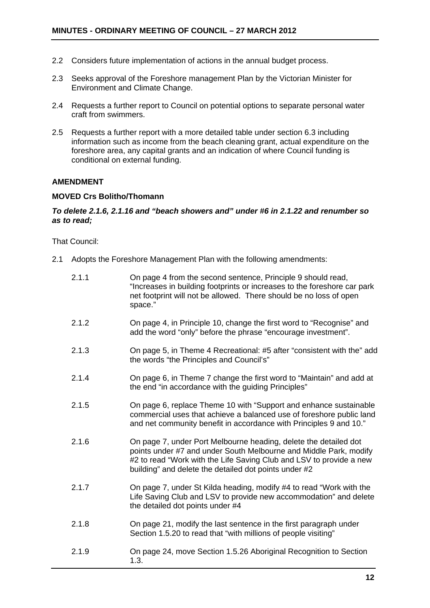- 2.2 Considers future implementation of actions in the annual budget process.
- 2.3 Seeks approval of the Foreshore management Plan by the Victorian Minister for Environment and Climate Change.
- 2.4 Requests a further report to Council on potential options to separate personal water craft from swimmers.
- 2.5 Requests a further report with a more detailed table under section 6.3 including information such as income from the beach cleaning grant, actual expenditure on the foreshore area, any capital grants and an indication of where Council funding is conditional on external funding.

#### **AMENDMENT**

#### **MOVED Crs Bolitho/Thomann**

#### *To delete 2.1.6, 2.1.16 and "beach showers and" under #6 in 2.1.22 and renumber so as to read;*

That Council:

2.1 Adopts the Foreshore Management Plan with the following amendments:

| 2.1.1 | On page 4 from the second sentence, Principle 9 should read,<br>"Increases in building footprints or increases to the foreshore car park<br>net footprint will not be allowed. There should be no loss of open<br>space."                                             |
|-------|-----------------------------------------------------------------------------------------------------------------------------------------------------------------------------------------------------------------------------------------------------------------------|
| 2.1.2 | On page 4, in Principle 10, change the first word to "Recognise" and<br>add the word "only" before the phrase "encourage investment".                                                                                                                                 |
| 2.1.3 | On page 5, in Theme 4 Recreational: #5 after "consistent with the" add<br>the words "the Principles and Council's"                                                                                                                                                    |
| 2.1.4 | On page 6, in Theme 7 change the first word to "Maintain" and add at<br>the end "in accordance with the guiding Principles"                                                                                                                                           |
| 2.1.5 | On page 6, replace Theme 10 with "Support and enhance sustainable<br>commercial uses that achieve a balanced use of foreshore public land<br>and net community benefit in accordance with Principles 9 and 10."                                                       |
| 2.1.6 | On page 7, under Port Melbourne heading, delete the detailed dot<br>points under #7 and under South Melbourne and Middle Park, modify<br>#2 to read "Work with the Life Saving Club and LSV to provide a new<br>building" and delete the detailed dot points under #2 |
| 2.1.7 | On page 7, under St Kilda heading, modify #4 to read "Work with the<br>Life Saving Club and LSV to provide new accommodation" and delete<br>the detailed dot points under #4                                                                                          |
| 2.1.8 | On page 21, modify the last sentence in the first paragraph under<br>Section 1.5.20 to read that "with millions of people visiting"                                                                                                                                   |
| 2.1.9 | On page 24, move Section 1.5.26 Aboriginal Recognition to Section<br>1.3.                                                                                                                                                                                             |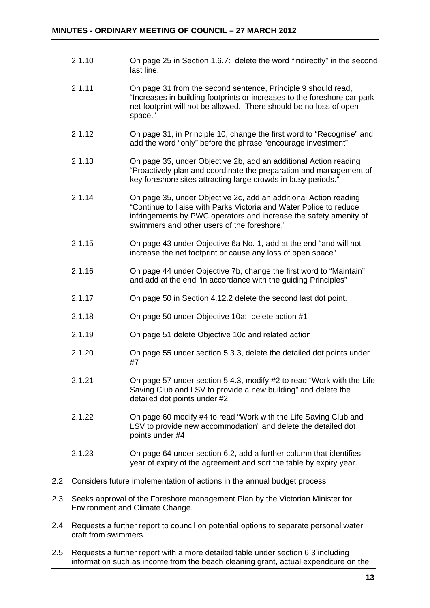|         | 2.1.10 | On page 25 in Section 1.6.7: delete the word "indirectly" in the second<br>last line.                                                                                                                                                                      |
|---------|--------|------------------------------------------------------------------------------------------------------------------------------------------------------------------------------------------------------------------------------------------------------------|
|         | 2.1.11 | On page 31 from the second sentence, Principle 9 should read,<br>"Increases in building footprints or increases to the foreshore car park<br>net footprint will not be allowed. There should be no loss of open<br>space."                                 |
|         | 2.1.12 | On page 31, in Principle 10, change the first word to "Recognise" and<br>add the word "only" before the phrase "encourage investment".                                                                                                                     |
|         | 2.1.13 | On page 35, under Objective 2b, add an additional Action reading<br>"Proactively plan and coordinate the preparation and management of<br>key foreshore sites attracting large crowds in busy periods."                                                    |
|         | 2.1.14 | On page 35, under Objective 2c, add an additional Action reading<br>"Continue to liaise with Parks Victoria and Water Police to reduce<br>infringements by PWC operators and increase the safety amenity of<br>swimmers and other users of the foreshore." |
|         | 2.1.15 | On page 43 under Objective 6a No. 1, add at the end "and will not<br>increase the net footprint or cause any loss of open space"                                                                                                                           |
|         | 2.1.16 | On page 44 under Objective 7b, change the first word to "Maintain"<br>and add at the end "in accordance with the guiding Principles"                                                                                                                       |
|         | 2.1.17 | On page 50 in Section 4.12.2 delete the second last dot point.                                                                                                                                                                                             |
|         | 2.1.18 | On page 50 under Objective 10a: delete action #1                                                                                                                                                                                                           |
|         | 2.1.19 | On page 51 delete Objective 10c and related action                                                                                                                                                                                                         |
|         | 2.1.20 | On page 55 under section 5.3.3, delete the detailed dot points under<br>#7                                                                                                                                                                                 |
|         | 2.1.21 | On page 57 under section 5.4.3, modify #2 to read "Work with the Life<br>Saving Club and LSV to provide a new building" and delete the<br>detailed dot points under #2                                                                                     |
|         | 2.1.22 | On page 60 modify #4 to read "Work with the Life Saving Club and<br>LSV to provide new accommodation" and delete the detailed dot<br>points under #4                                                                                                       |
|         | 2.1.23 | On page 64 under section 6.2, add a further column that identifies<br>year of expiry of the agreement and sort the table by expiry year.                                                                                                                   |
| $2.2\,$ |        | Considers future implementation of actions in the annual budget process                                                                                                                                                                                    |

- 2.3 Seeks approval of the Foreshore management Plan by the Victorian Minister for Environment and Climate Change.
- 2.4 Requests a further report to council on potential options to separate personal water craft from swimmers.
- 2.5 Requests a further report with a more detailed table under section 6.3 including information such as income from the beach cleaning grant, actual expenditure on the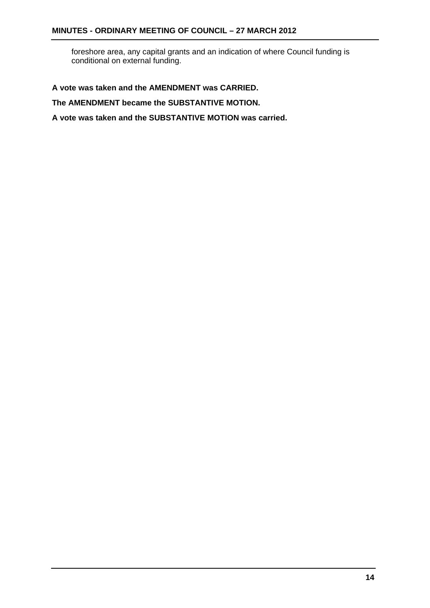foreshore area, any capital grants and an indication of where Council funding is conditional on external funding.

**A vote was taken and the AMENDMENT was CARRIED.** 

**The AMENDMENT became the SUBSTANTIVE MOTION.** 

**A vote was taken and the SUBSTANTIVE MOTION was carried.**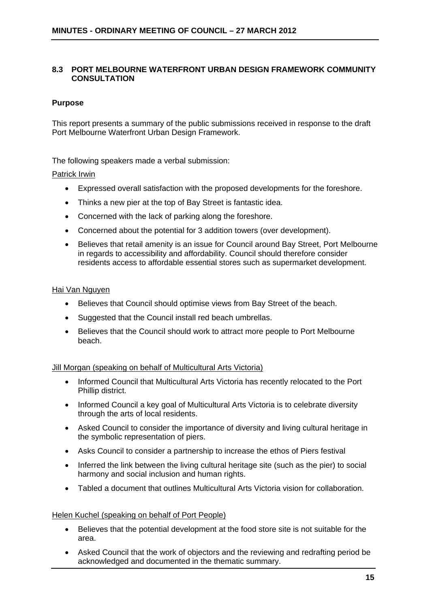#### **8.3 PORT MELBOURNE WATERFRONT URBAN DESIGN FRAMEWORK COMMUNITY CONSULTATION**

#### **Purpose**

This report presents a summary of the public submissions received in response to the draft Port Melbourne Waterfront Urban Design Framework.

The following speakers made a verbal submission:

#### Patrick Irwin

- Expressed overall satisfaction with the proposed developments for the foreshore.
- Thinks a new pier at the top of Bay Street is fantastic idea.
- Concerned with the lack of parking along the foreshore.
- Concerned about the potential for 3 addition towers (over development).
- Believes that retail amenity is an issue for Council around Bay Street, Port Melbourne in regards to accessibility and affordability. Council should therefore consider residents access to affordable essential stores such as supermarket development.

#### Hai Van Nguyen

- Believes that Council should optimise views from Bay Street of the beach.
- Suggested that the Council install red beach umbrellas.
- Believes that the Council should work to attract more people to Port Melbourne beach.

#### Jill Morgan (speaking on behalf of Multicultural Arts Victoria)

- Informed Council that Multicultural Arts Victoria has recently relocated to the Port Phillip district.
- Informed Council a key goal of Multicultural Arts Victoria is to celebrate diversity through the arts of local residents.
- Asked Council to consider the importance of diversity and living cultural heritage in the symbolic representation of piers.
- Asks Council to consider a partnership to increase the ethos of Piers festival
- Inferred the link between the living cultural heritage site (such as the pier) to social harmony and social inclusion and human rights.
- Tabled a document that outlines Multicultural Arts Victoria vision for collaboration.

#### Helen Kuchel (speaking on behalf of Port People)

- Believes that the potential development at the food store site is not suitable for the area.
- Asked Council that the work of objectors and the reviewing and redrafting period be acknowledged and documented in the thematic summary.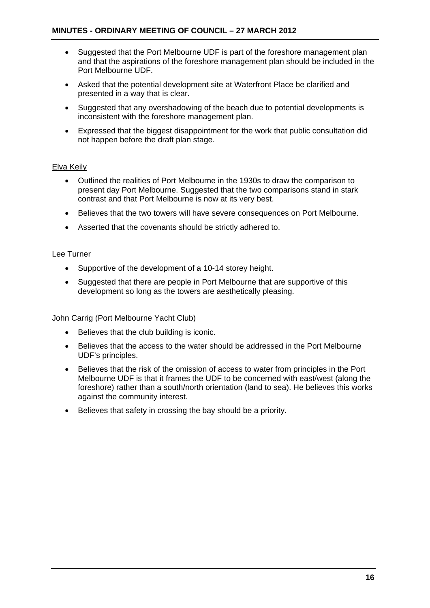- Suggested that the Port Melbourne UDF is part of the foreshore management plan and that the aspirations of the foreshore management plan should be included in the Port Melbourne UDF.
- Asked that the potential development site at Waterfront Place be clarified and presented in a way that is clear.
- Suggested that any overshadowing of the beach due to potential developments is inconsistent with the foreshore management plan.
- Expressed that the biggest disappointment for the work that public consultation did not happen before the draft plan stage.

#### Elva Keily

- Outlined the realities of Port Melbourne in the 1930s to draw the comparison to present day Port Melbourne. Suggested that the two comparisons stand in stark contrast and that Port Melbourne is now at its very best.
- Believes that the two towers will have severe consequences on Port Melbourne.
- Asserted that the covenants should be strictly adhered to.

#### Lee Turner

- Supportive of the development of a 10-14 storey height.
- Suggested that there are people in Port Melbourne that are supportive of this development so long as the towers are aesthetically pleasing.

#### John Carrig (Port Melbourne Yacht Club)

- Believes that the club building is iconic.
- Believes that the access to the water should be addressed in the Port Melbourne UDF's principles.
- Believes that the risk of the omission of access to water from principles in the Port Melbourne UDF is that it frames the UDF to be concerned with east/west (along the foreshore) rather than a south/north orientation (land to sea). He believes this works against the community interest.
- Believes that safety in crossing the bay should be a priority.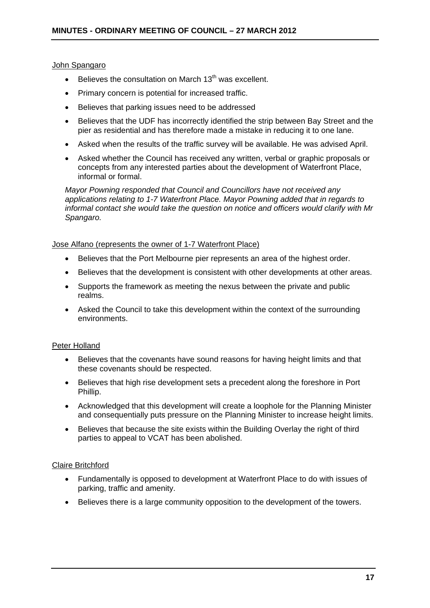#### John Spangaro

- **Believes the consultation on March 13<sup>th</sup> was excellent.**
- Primary concern is potential for increased traffic.
- Believes that parking issues need to be addressed
- Believes that the UDF has incorrectly identified the strip between Bay Street and the pier as residential and has therefore made a mistake in reducing it to one lane.
- Asked when the results of the traffic survey will be available. He was advised April.
- Asked whether the Council has received any written, verbal or graphic proposals or concepts from any interested parties about the development of Waterfront Place, informal or formal.

*Mayor Powning responded that Council and Councillors have not received any applications relating to 1-7 Waterfront Place. Mayor Powning added that in regards to informal contact she would take the question on notice and officers would clarify with Mr Spangaro.* 

#### Jose Alfano (represents the owner of 1-7 Waterfront Place)

- Believes that the Port Melbourne pier represents an area of the highest order.
- Believes that the development is consistent with other developments at other areas.
- Supports the framework as meeting the nexus between the private and public realms.
- Asked the Council to take this development within the context of the surrounding environments.

#### Peter Holland

- Believes that the covenants have sound reasons for having height limits and that these covenants should be respected.
- Believes that high rise development sets a precedent along the foreshore in Port Phillip.
- Acknowledged that this development will create a loophole for the Planning Minister and consequentially puts pressure on the Planning Minister to increase height limits.
- Believes that because the site exists within the Building Overlay the right of third parties to appeal to VCAT has been abolished.

#### Claire Britchford

- Fundamentally is opposed to development at Waterfront Place to do with issues of parking, traffic and amenity.
- Believes there is a large community opposition to the development of the towers.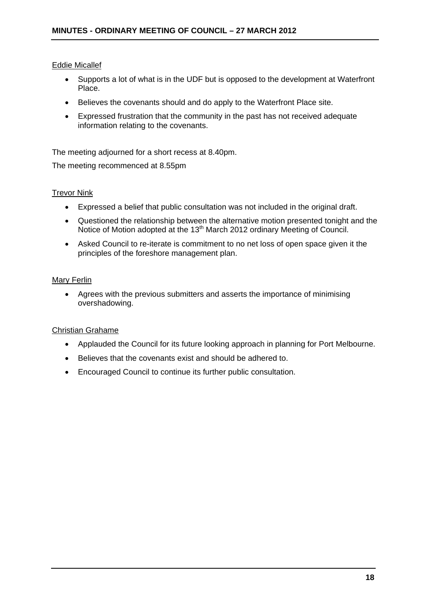#### Eddie Micallef

- Supports a lot of what is in the UDF but is opposed to the development at Waterfront Place.
- Believes the covenants should and do apply to the Waterfront Place site.
- Expressed frustration that the community in the past has not received adequate information relating to the covenants.

The meeting adjourned for a short recess at 8.40pm.

The meeting recommenced at 8.55pm

#### Trevor Nink

- Expressed a belief that public consultation was not included in the original draft.
- Questioned the relationship between the alternative motion presented tonight and the Notice of Motion adopted at the 13<sup>th</sup> March 2012 ordinary Meeting of Council.
- Asked Council to re-iterate is commitment to no net loss of open space given it the principles of the foreshore management plan.

#### **Mary Ferlin**

 Agrees with the previous submitters and asserts the importance of minimising overshadowing.

#### Christian Grahame

- Applauded the Council for its future looking approach in planning for Port Melbourne.
- Believes that the covenants exist and should be adhered to.
- Encouraged Council to continue its further public consultation.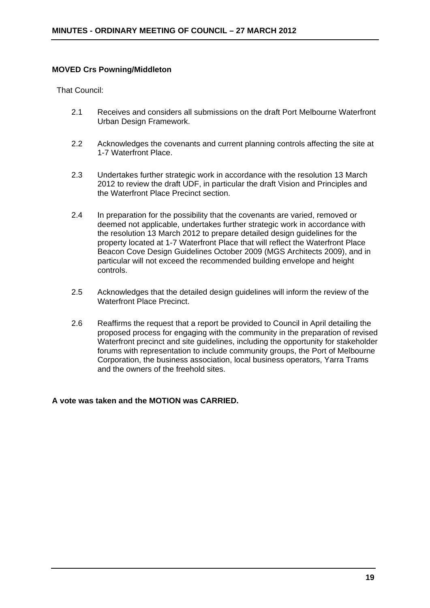#### **MOVED Crs Powning/Middleton**

That Council:

- 2.1 Receives and considers all submissions on the draft Port Melbourne Waterfront Urban Design Framework.
- 2.2 Acknowledges the covenants and current planning controls affecting the site at 1-7 Waterfront Place.
- 2.3 Undertakes further strategic work in accordance with the resolution 13 March 2012 to review the draft UDF, in particular the draft Vision and Principles and the Waterfront Place Precinct section.
- 2.4 In preparation for the possibility that the covenants are varied, removed or deemed not applicable, undertakes further strategic work in accordance with the resolution 13 March 2012 to prepare detailed design guidelines for the property located at 1-7 Waterfront Place that will reflect the Waterfront Place Beacon Cove Design Guidelines October 2009 (MGS Architects 2009), and in particular will not exceed the recommended building envelope and height controls.
- 2.5 Acknowledges that the detailed design guidelines will inform the review of the Waterfront Place Precinct.
- 2.6 Reaffirms the request that a report be provided to Council in April detailing the proposed process for engaging with the community in the preparation of revised Waterfront precinct and site guidelines, including the opportunity for stakeholder forums with representation to include community groups, the Port of Melbourne Corporation, the business association, local business operators, Yarra Trams and the owners of the freehold sites.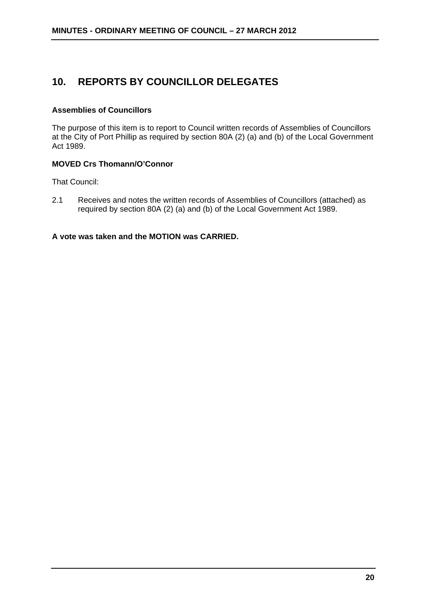### **10. REPORTS BY COUNCILLOR DELEGATES**

#### **Assemblies of Councillors**

The purpose of this item is to report to Council written records of Assemblies of Councillors at the City of Port Phillip as required by section 80A (2) (a) and (b) of the Local Government Act 1989.

#### **MOVED Crs Thomann/O'Connor**

That Council:

2.1 Receives and notes the written records of Assemblies of Councillors (attached) as required by section 80A (2) (a) and (b) of the Local Government Act 1989.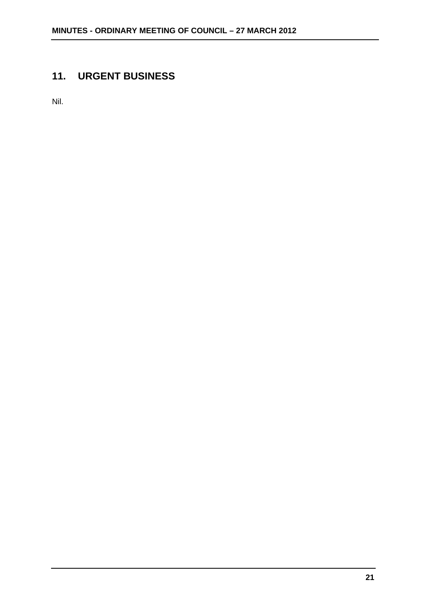# **11. URGENT BUSINESS**